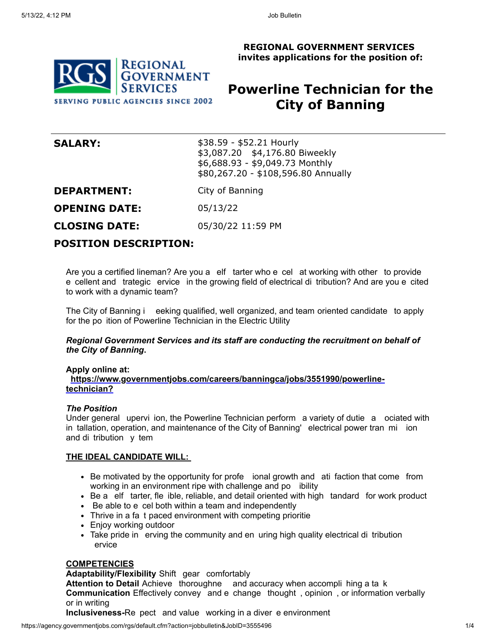**REGIONAL GOVERNMENT SERVICES invites applications for the position of:**

## **REGIONAL GOVERNMENT SERVICES SERVING PUBLIC AGENCIES SINCE 2002**

# **Powerline Technician for the City of Banning**

| <b>SALARY:</b> | $$38.59 - $52.21$ Hourly            |
|----------------|-------------------------------------|
|                | \$3,087.20 \$4,176.80 Biweekly      |
|                | $$6,688.93 - $9,049.73$ Monthly     |
|                | \$80,267.20 - \$108,596.80 Annually |

**DEPARTMENT:** City of Banning

**OPENING DATE:** 05/13/22

**CLOSING DATE:** 05/30/22 11:59 PM

## **POSITION DESCRIPTION:**

Are you a certified lineman? Are you a elf tarter who e cel at working with other to provide e cellent and trategic ervice in the growing field of electrical di tribution? And are you e cited to work with a dynamic team?

The City of Banning i eeking qualified, well organized, and team oriented candidate to apply for the po ition of Powerline Technician in the Electric Utility

#### *Regional Government Services and its staff are conducting the recruitment on behalf of the City of Banning***.**

#### **Apply online at:**

**https://www.governmentjobs.com/careers/banningca/jobs/3551990/powerlinetechnician?**

#### *The Position*

Under general upervi ion, the Powerline Technician perform a variety of dutie a ociated with in tallation, operation, and maintenance of the City of Banning' electrical power tran mi ion and di tribution y tem

#### **THE IDEAL CANDIDATE WILL:**

- Be motivated by the opportunity for profe ional growth and ati faction that come from working in an environment ripe with challenge and po ibility
- Be a elf tarter, fle ible, reliable, and detail oriented with high tandard for work product
- Be able to e cel both within a team and independently
- Thrive in a fa t paced environment with competing prioritie
- Enjoy working outdoor
- Take pride in erving the community and en uring high quality electrical di tribution ervice

#### **COMPETENCIES**

#### **Adaptability/Flexibility** Shift gear comfortably

**Attention to Detail** Achieve thoroughne and accuracy when accompli hing a ta k **Communication** Effectively convey and e change thought , opinion , or information verbally or in writing

**Inclusiveness-**Re pect and value working in a diver e environment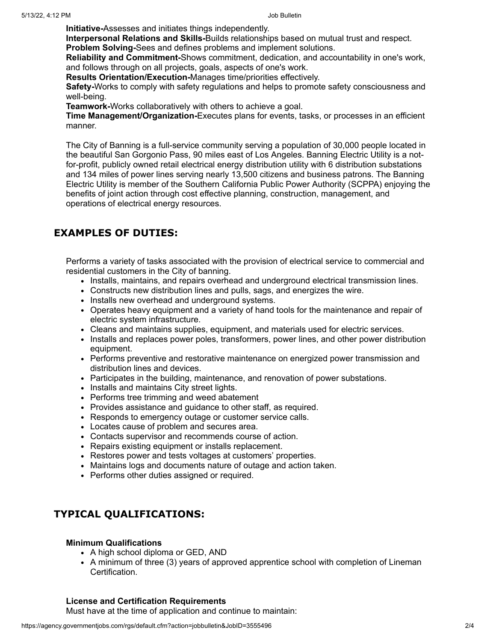**Initiative-**Assesses and initiates things independently.

**Interpersonal Relations and Skills-**Builds relationships based on mutual trust and respect. **Problem Solving-**Sees and defines problems and implement solutions.

**Reliability and Commitment-**Shows commitment, dedication, and accountability in one's work, and follows through on all projects, goals, aspects of one's work.

**Results Orientation/Execution-**Manages time/priorities effectively.

**Safety-**Works to comply with safety regulations and helps to promote safety consciousness and well-being.

**Teamwork-**Works collaboratively with others to achieve a goal.

**Time Management/Organization-**Executes plans for events, tasks, or processes in an efficient manner.

The City of Banning is a full-service community serving a population of 30,000 people located in the beautiful San Gorgonio Pass, 90 miles east of Los Angeles. Banning Electric Utility is a notfor-profit, publicly owned retail electrical energy distribution utility with 6 distribution substations and 134 miles of power lines serving nearly 13,500 citizens and business patrons. The Banning Electric Utility is member of the Southern California Public Power Authority (SCPPA) enjoying the benefits of joint action through cost effective planning, construction, management, and operations of electrical energy resources.

## **EXAMPLES OF DUTIES:**

Performs a variety of tasks associated with the provision of electrical service to commercial and residential customers in the City of banning.

- Installs, maintains, and repairs overhead and underground electrical transmission lines.
- Constructs new distribution lines and pulls, sags, and energizes the wire.
- Installs new overhead and underground systems.
- Operates heavy equipment and a variety of hand tools for the maintenance and repair of electric system infrastructure.
- Cleans and maintains supplies, equipment, and materials used for electric services.
- Installs and replaces power poles, transformers, power lines, and other power distribution equipment.
- Performs preventive and restorative maintenance on energized power transmission and distribution lines and devices.
- Participates in the building, maintenance, and renovation of power substations.
- Installs and maintains City street lights.
- Performs tree trimming and weed abatement
- Provides assistance and guidance to other staff, as required.
- Responds to emergency outage or customer service calls.
- Locates cause of problem and secures area.
- Contacts supervisor and recommends course of action.
- Repairs existing equipment or installs replacement.
- Restores power and tests voltages at customers' properties.
- Maintains logs and documents nature of outage and action taken.
- Performs other duties assigned or required.

## **TYPICAL QUALIFICATIONS:**

#### **Minimum Qualifications**

- A high school diploma or GED, AND
- A minimum of three (3) years of approved apprentice school with completion of Lineman Certification.

### **License and Certification Requirements**

Must have at the time of application and continue to maintain: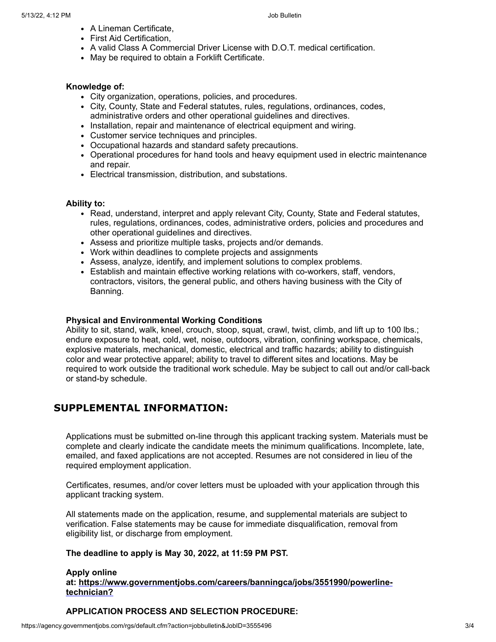- A Lineman Certificate,
- First Aid Certification,
- A valid Class A Commercial Driver License with D.O.T. medical certification.
- May be required to obtain a Forklift Certificate.

#### **Knowledge of:**

- City organization, operations, policies, and procedures.
- City, County, State and Federal statutes, rules, regulations, ordinances, codes, administrative orders and other operational guidelines and directives.
- Installation, repair and maintenance of electrical equipment and wiring.
- Customer service techniques and principles.
- Occupational hazards and standard safety precautions.
- Operational procedures for hand tools and heavy equipment used in electric maintenance and repair.
- Electrical transmission, distribution, and substations.

#### **Ability to:**

- Read, understand, interpret and apply relevant City, County, State and Federal statutes, rules, regulations, ordinances, codes, administrative orders, policies and procedures and other operational guidelines and directives.
- Assess and prioritize multiple tasks, projects and/or demands.
- Work within deadlines to complete projects and assignments
- Assess, analyze, identify, and implement solutions to complex problems.
- Establish and maintain effective working relations with co-workers, staff, vendors, contractors, visitors, the general public, and others having business with the City of Banning.

#### **Physical and Environmental Working Conditions**

Ability to sit, stand, walk, kneel, crouch, stoop, squat, crawl, twist, climb, and lift up to 100 lbs.; endure exposure to heat, cold, wet, noise, outdoors, vibration, confining workspace, chemicals, explosive materials, mechanical, domestic, electrical and traffic hazards; ability to distinguish color and wear protective apparel; ability to travel to different sites and locations. May be required to work outside the traditional work schedule. May be subject to call out and/or call-back or stand-by schedule.

## **SUPPLEMENTAL INFORMATION:**

Applications must be submitted on-line through this applicant tracking system. Materials must be complete and clearly indicate the candidate meets the minimum qualifications. Incomplete, late, emailed, and faxed applications are not accepted. Resumes are not considered in lieu of the required employment application.

Certificates, resumes, and/or cover letters must be uploaded with your application through this applicant tracking system.

All statements made on the application, resume, and supplemental materials are subject to verification. False statements may be cause for immediate disqualification, removal from eligibility list, or discharge from employment.

### **The deadline to apply is May 30, 2022, at 11:59 PM PST.**

#### **Apply online at: https://www.governmentjobs.com/careers/banningca/jobs/3551990/powerlinetechnician?**

### **APPLICATION PROCESS AND SELECTION PROCEDURE:**